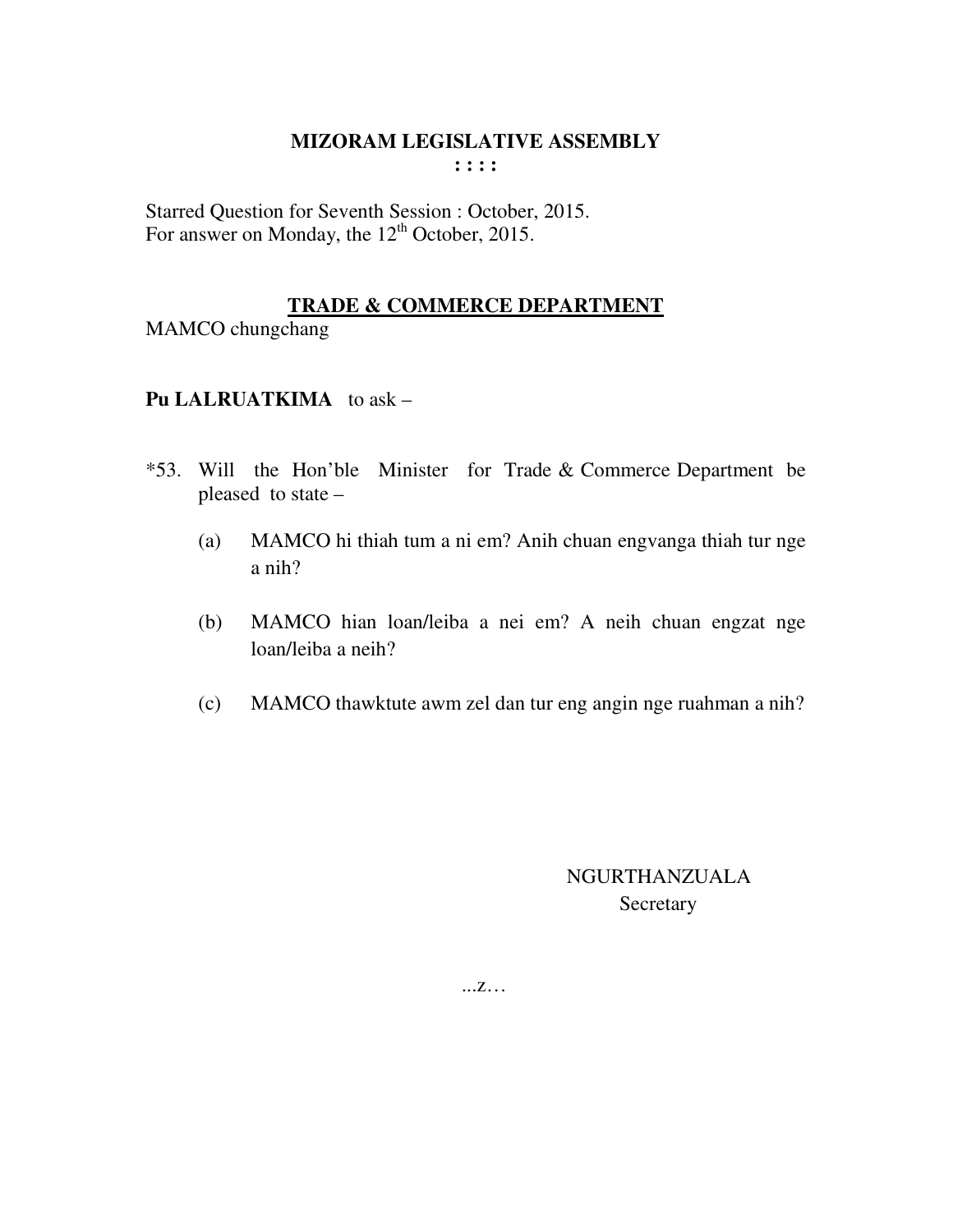Starred Question for Seventh Session : October, 2015. For answer on Monday, the 12<sup>th</sup> October, 2015.

## **TRADE & COMMERCE DEPARTMENT**

MAMCO chungchang

## **Pu LALRUATKIMA** to ask –

- \*53. Will the Hon'ble Minister for Trade & Commerce Department be pleased to state –
	- (a) MAMCO hi thiah tum a ni em? Anih chuan engvanga thiah tur nge a nih?
	- (b) MAMCO hian loan/leiba a nei em? A neih chuan engzat nge loan/leiba a neih?
	- (c) MAMCO thawktute awm zel dan tur eng angin nge ruahman a nih?

 NGURTHANZUALA **Secretary**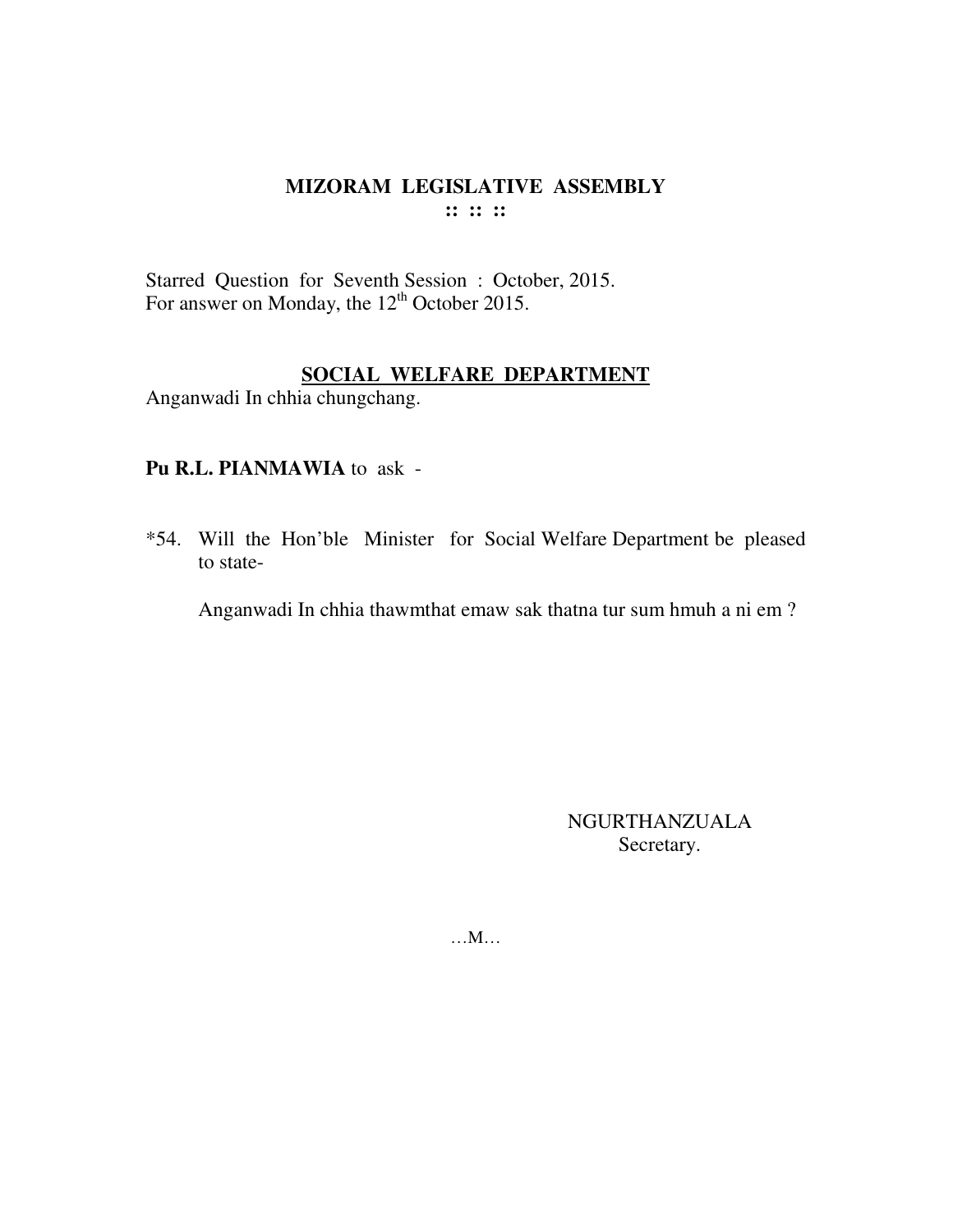Starred Question for Seventh Session : October, 2015. For answer on Monday, the  $12<sup>th</sup>$  October 2015.

#### **SOCIAL WELFARE DEPARTMENT**

Anganwadi In chhia chungchang.

# **Pu R.L. PIANMAWIA** to ask -

\*54. Will the Hon'ble Minister for Social Welfare Department be pleased to state-

Anganwadi In chhia thawmthat emaw sak thatna tur sum hmuh a ni em ?

NGURTHANZUALA Secretary.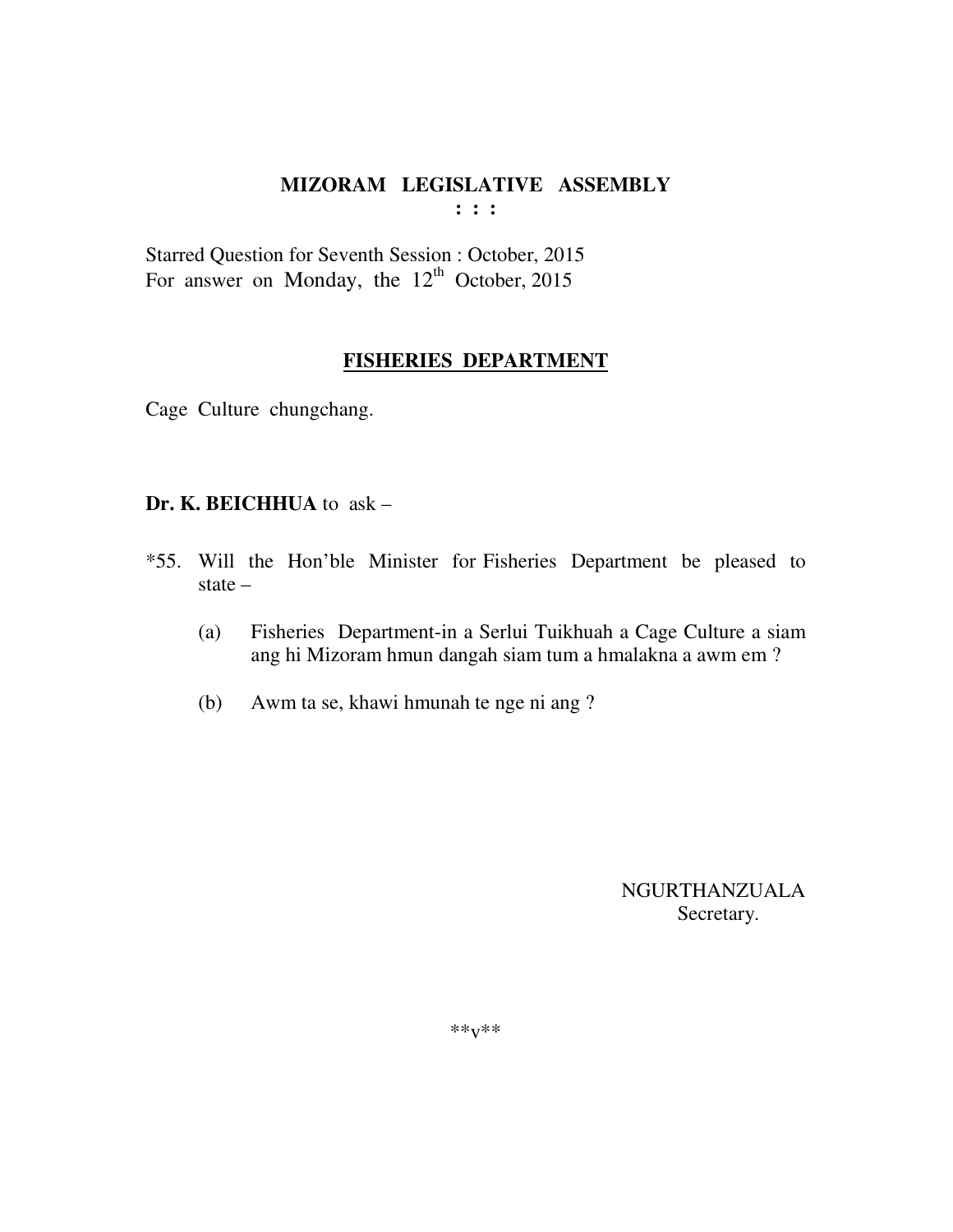Starred Question for Seventh Session : October, 2015 For answer on Monday, the  $12<sup>th</sup>$  October, 2015

#### **FISHERIES DEPARTMENT**

Cage Culture chungchang.

#### **Dr. K. BEICHHUA** to ask –

- \*55. Will the Hon'ble Minister for Fisheries Department be pleased to state –
	- (a) Fisheries Department-in a Serlui Tuikhuah a Cage Culture a siam ang hi Mizoram hmun dangah siam tum a hmalakna a awm em ?
	- (b) Awm ta se, khawi hmunah te nge ni ang ?

 NGURTHANZUALA Secretary.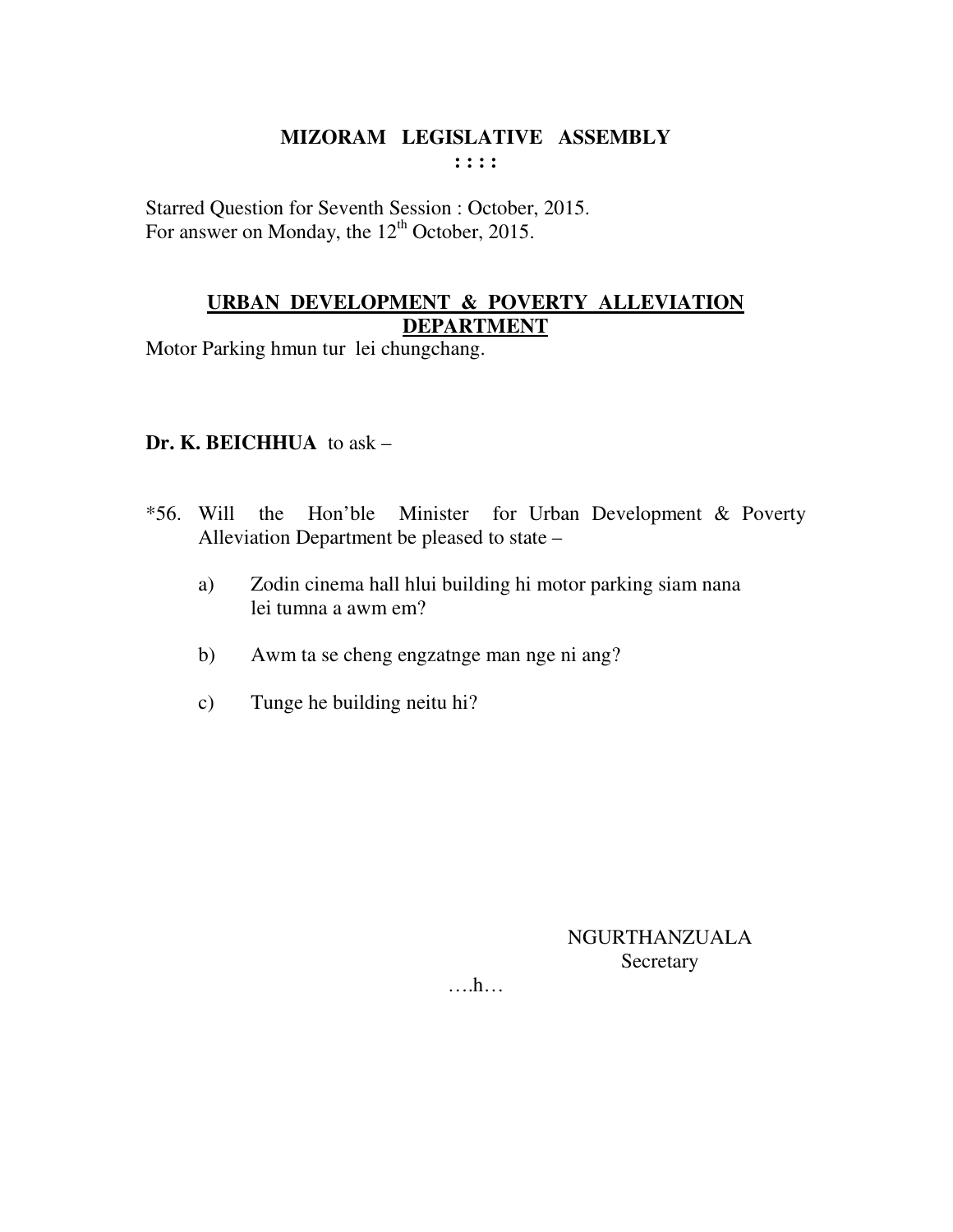Starred Question for Seventh Session : October, 2015. For answer on Monday, the  $12<sup>th</sup>$  October, 2015.

## **URBAN DEVELOPMENT & POVERTY ALLEVIATION DEPARTMENT**

Motor Parking hmun tur lei chungchang.

## **Dr. K. BEICHHUA** to ask –

- \*56. Will the Hon'ble Minister for Urban Development & Poverty Alleviation Department be pleased to state –
	- a) Zodin cinema hall hlui building hi motor parking siam nana lei tumna a awm em?
	- b) Awm ta se cheng engzatnge man nge ni ang?
	- c) Tunge he building neitu hi?

NGURTHANZUALA **Secretary**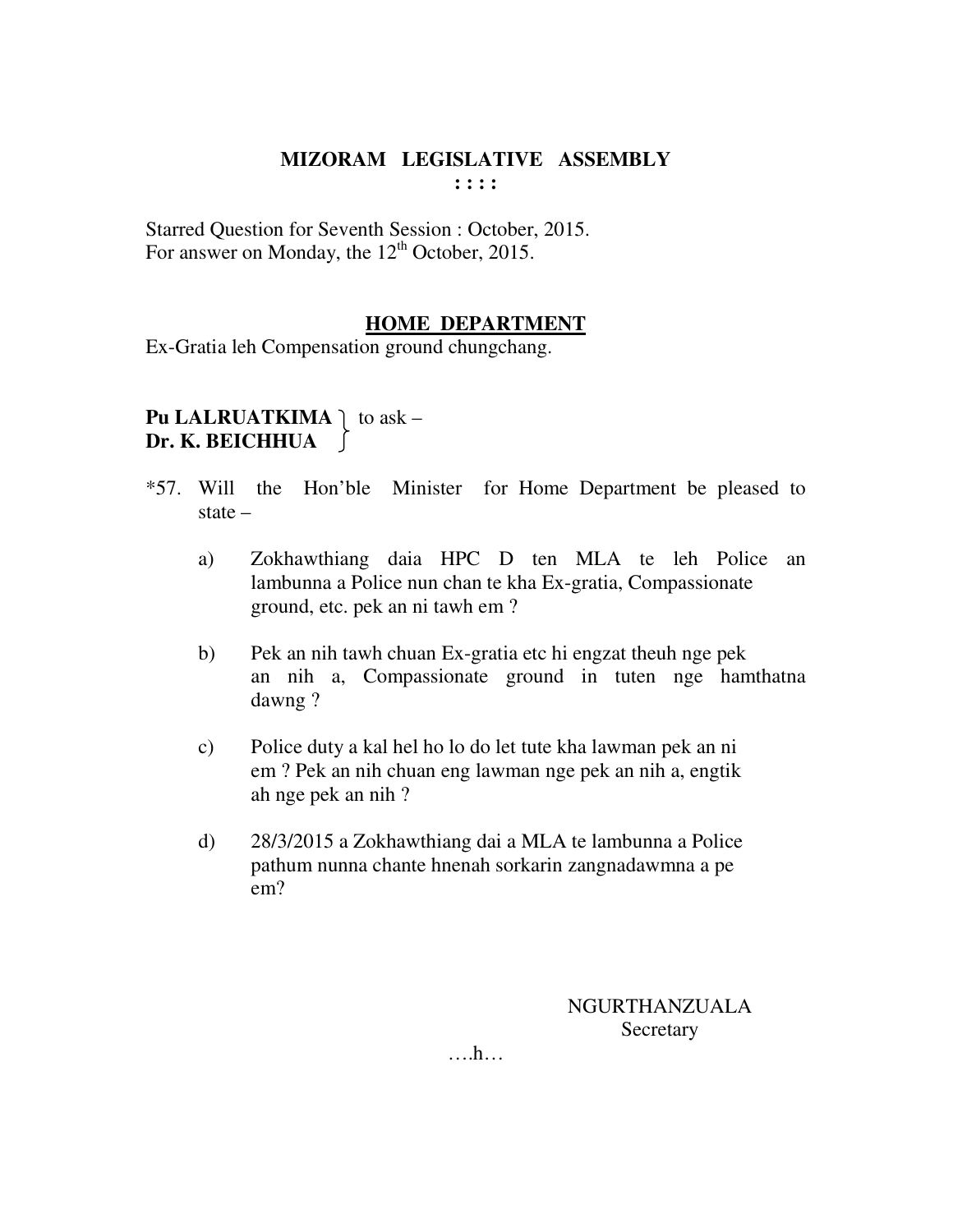Starred Question for Seventh Session : October, 2015. For answer on Monday, the 12<sup>th</sup> October, 2015.

## **HOME DEPARTMENT**

Ex-Gratia leh Compensation ground chungchang.

**Pu LALRUATKIMA**  $\vert$  to ask – **Dr. K. BEICHHUA**   $\Box$ 

- \*57. Will the Hon'ble Minister for Home Department be pleased to state –
	- a) Zokhawthiang daia HPC D ten MLA te leh Police an lambunna a Police nun chan te kha Ex-gratia, Compassionate ground, etc. pek an ni tawh em ?
	- b) Pek an nih tawh chuan Ex-gratia etc hi engzat theuh nge pek an nih a, Compassionate ground in tuten nge hamthatna dawng ?
	- c) Police duty a kal hel ho lo do let tute kha lawman pek an ni em ? Pek an nih chuan eng lawman nge pek an nih a, engtik ah nge pek an nih ?
	- d) 28/3/2015 a Zokhawthiang dai a MLA te lambunna a Police pathum nunna chante hnenah sorkarin zangnadawmna a pe em?

NGURTHANZUALA **Secretary**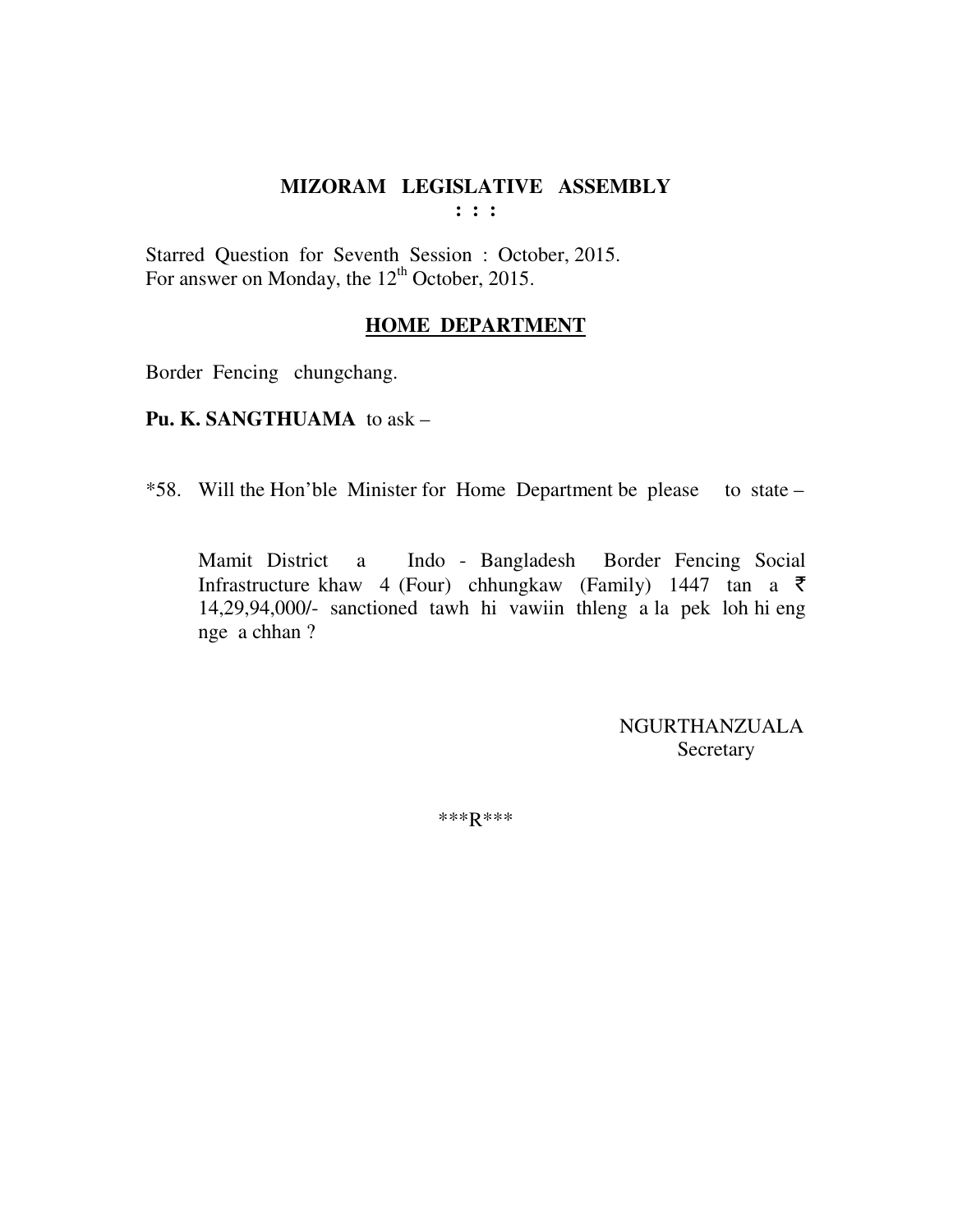**: : :** 

Starred Question for Seventh Session : October, 2015. For answer on Monday, the 12<sup>th</sup> October, 2015.

#### **HOME DEPARTMENT**

Border Fencing chungchang.

**Pu. K. SANGTHUAMA** to ask –

\*58. Will the Hon'ble Minister for Home Department be please to state –

Mamit District a Indo - Bangladesh Border Fencing Social Infrastructure khaw 4 (Four) chhungkaw (Family) 1447 tan a  $\bar{\tau}$ 14,29,94,000/- sanctioned tawh hi vawiin thleng a la pek loh hi eng nge a chhan ?

> NGURTHANZUALA **Secretary**

\*\*\*R\*\*\*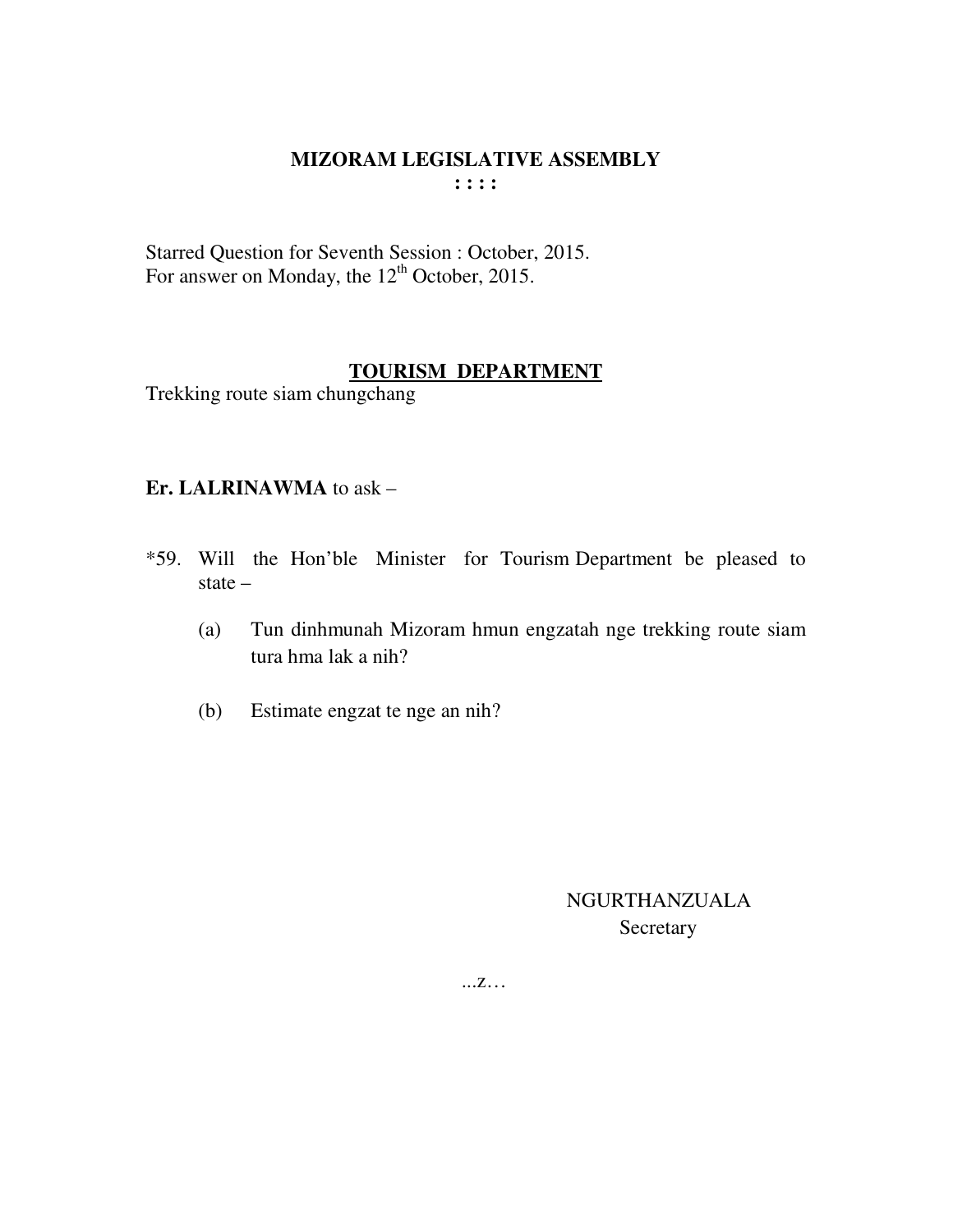Starred Question for Seventh Session : October, 2015. For answer on Monday, the  $12<sup>th</sup>$  October, 2015.

## **TOURISM DEPARTMENT**

Trekking route siam chungchang

#### **Er. LALRINAWMA** to ask –

- \*59. Will the Hon'ble Minister for Tourism Department be pleased to state –
	- (a) Tun dinhmunah Mizoram hmun engzatah nge trekking route siam tura hma lak a nih?
	- (b) Estimate engzat te nge an nih?

 NGURTHANZUALA Secretary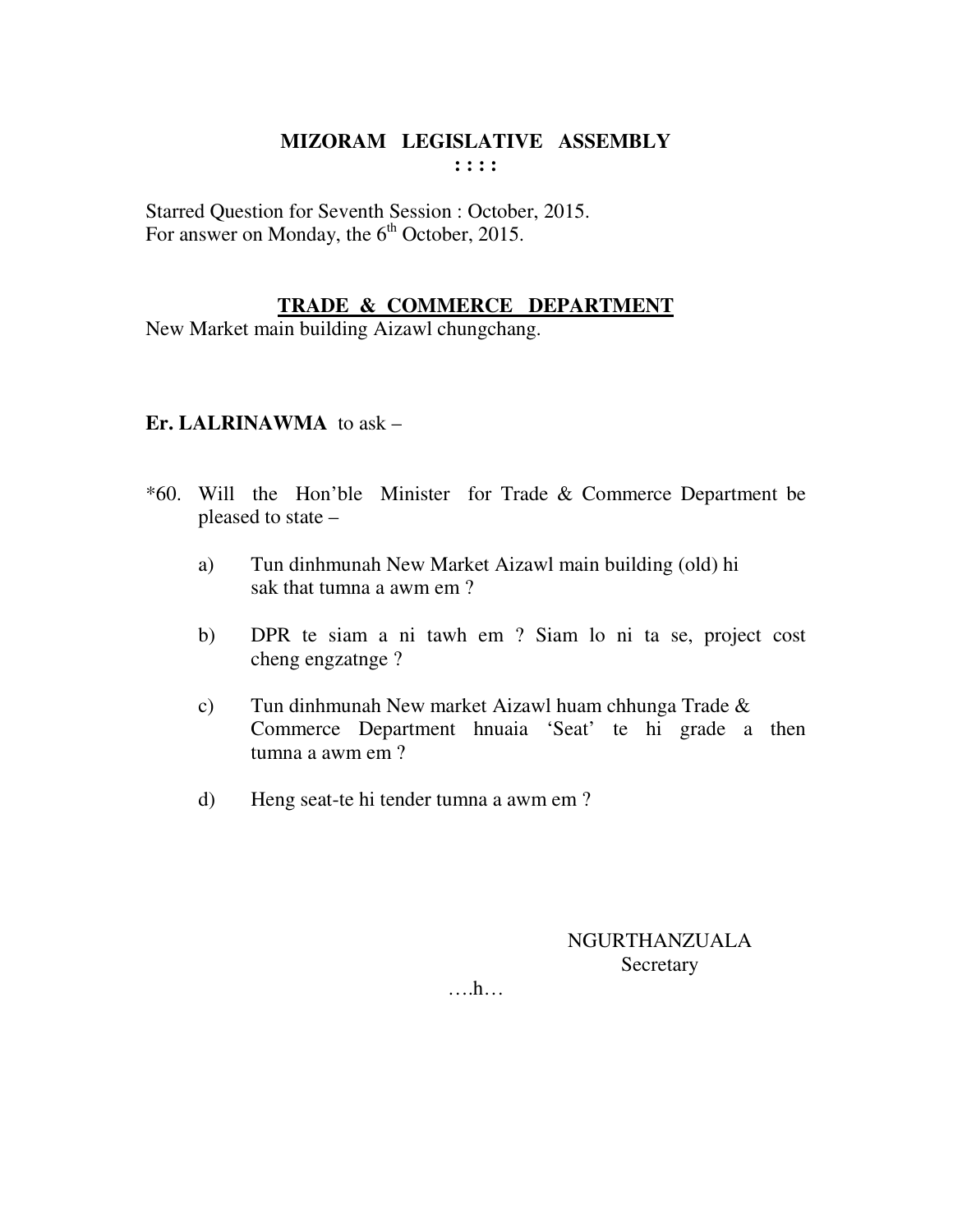Starred Question for Seventh Session : October, 2015. For answer on Monday, the  $6<sup>th</sup>$  October, 2015.

#### **TRADE & COMMERCE DEPARTMENT**

New Market main building Aizawl chungchang.

#### **Er. LALRINAWMA** to ask –

- \*60. Will the Hon'ble Minister for Trade & Commerce Department be pleased to state –
	- a) Tun dinhmunah New Market Aizawl main building (old) hi sak that tumna a awm em ?
	- b) DPR te siam a ni tawh em ? Siam lo ni ta se, project cost cheng engzatnge ?
	- c) Tun dinhmunah New market Aizawl huam chhunga Trade & Commerce Department hnuaia 'Seat' te hi grade a then tumna a awm em ?
	- d) Heng seat-te hi tender tumna a awm em ?

NGURTHANZUALA Secretary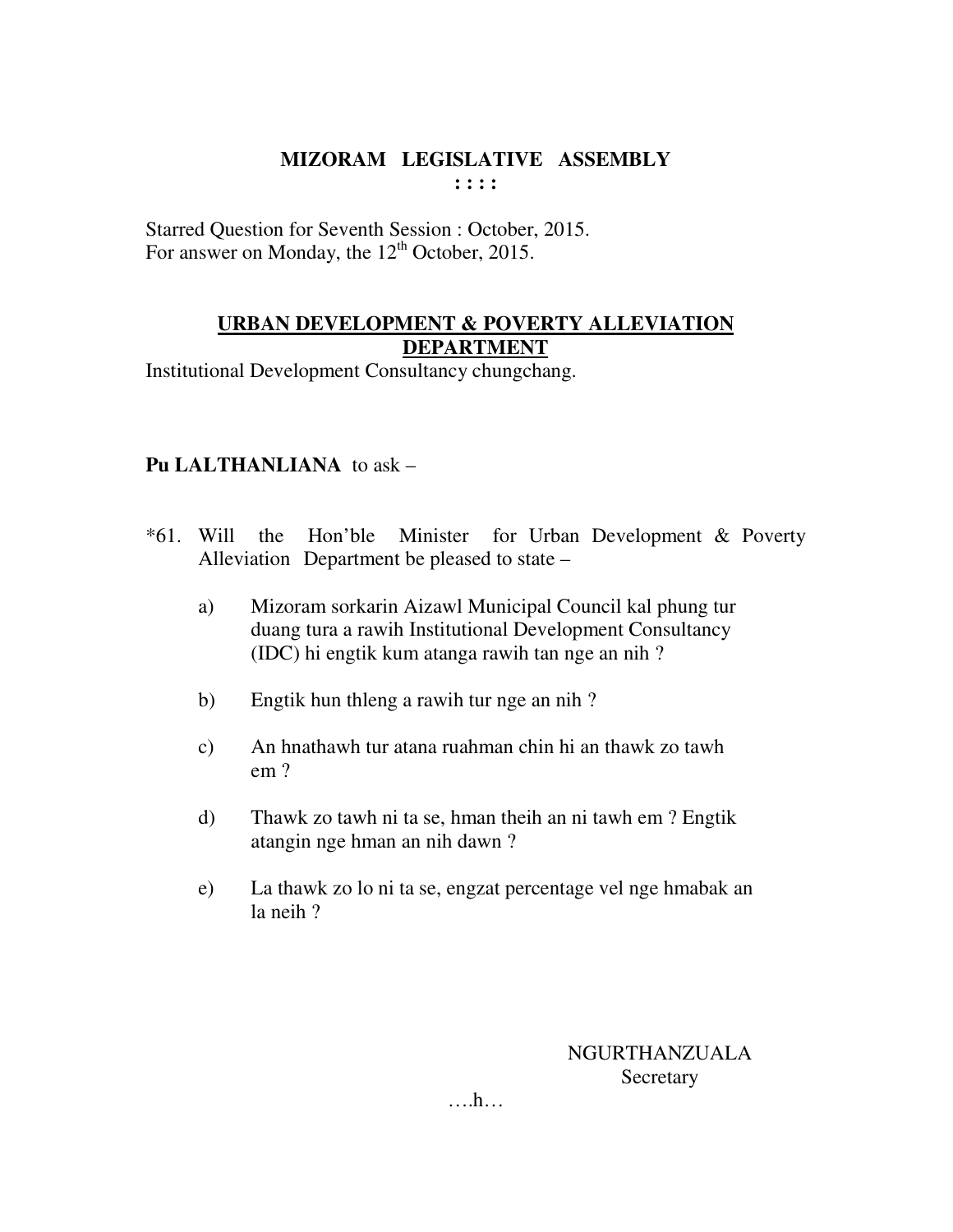Starred Question for Seventh Session : October, 2015. For answer on Monday, the 12<sup>th</sup> October, 2015.

#### **URBAN DEVELOPMENT & POVERTY ALLEVIATION DEPARTMENT**

Institutional Development Consultancy chungchang.

# **Pu LALTHANLIANA** to ask –

- \*61. Will the Hon'ble Minister for Urban Development & Poverty Alleviation Department be pleased to state –
	- a) Mizoram sorkarin Aizawl Municipal Council kal phung tur duang tura a rawih Institutional Development Consultancy (IDC) hi engtik kum atanga rawih tan nge an nih ?
	- b) Engtik hun thleng a rawih tur nge an nih ?
	- c) An hnathawh tur atana ruahman chin hi an thawk zo tawh em ?
	- d) Thawk zo tawh ni ta se, hman theih an ni tawh em ? Engtik atangin nge hman an nih dawn ?
	- e) La thawk zo lo ni ta se, engzat percentage vel nge hmabak an la neih ?

NGURTHANZUALA **Secretary**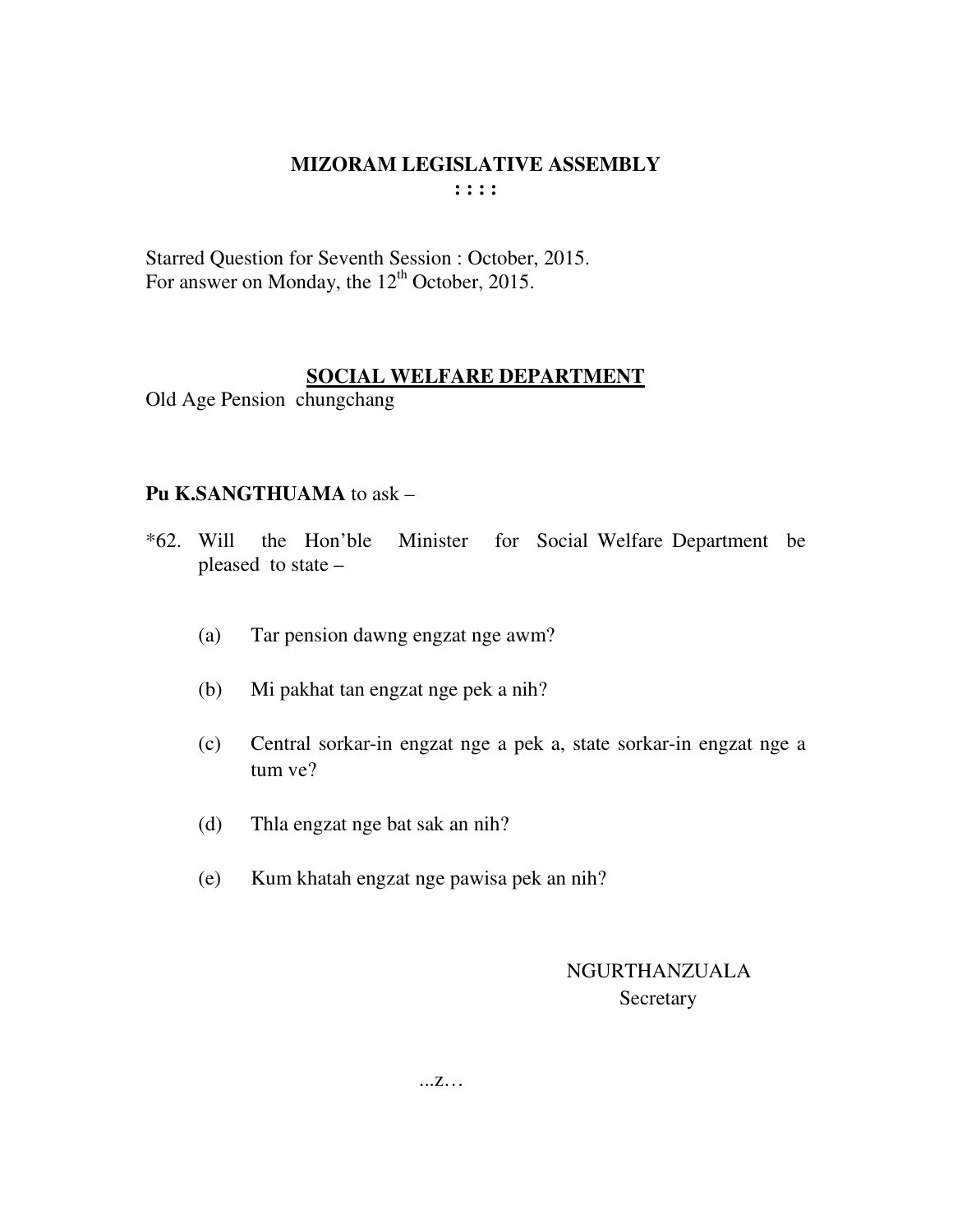Starred Question for Seventh Session : October, 2015. For answer on Monday, the 12<sup>th</sup> October, 2015.

#### **SOCIAL WELFARE DEPARTMENT**

Old Age Pension chungchang

#### **Pu K.SANGTHUAMA** to ask –

- \*62. Will the Hon'ble Minister for Social Welfare Department be pleased to state –
	- (a) Tar pension dawng engzat nge awm?
	- (b) Mi pakhat tan engzat nge pek a nih?
	- (c) Central sorkar-in engzat nge a pek a, state sorkar-in engzat nge a tum ve?
	- (d) Thla engzat nge bat sak an nih?
	- (e) Kum khatah engzat nge pawisa pek an nih?

# NGURTHANZUALA **Secretary**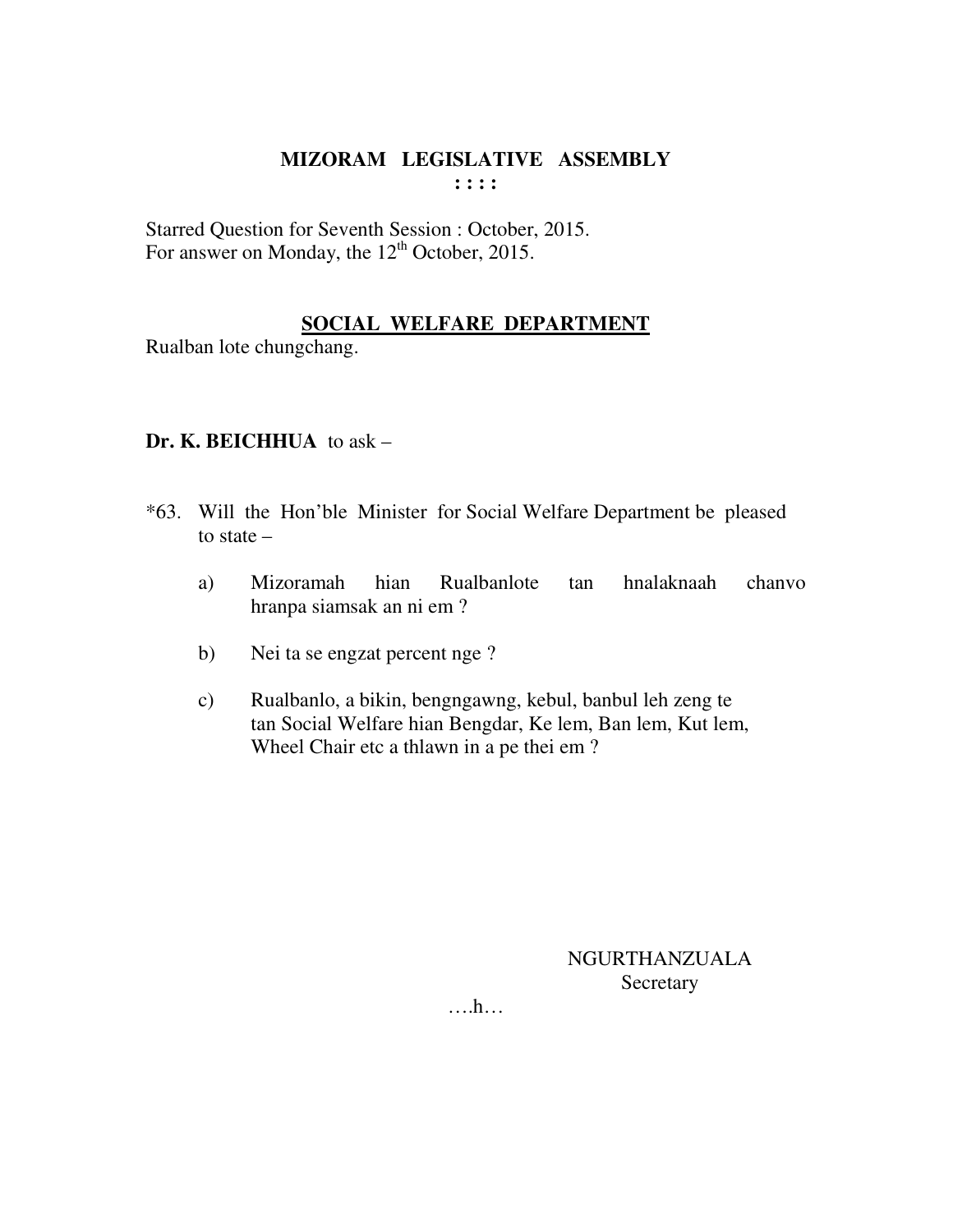Starred Question for Seventh Session : October, 2015. For answer on Monday, the 12<sup>th</sup> October, 2015.

## **SOCIAL WELFARE DEPARTMENT**

Rualban lote chungchang.

## **Dr. K. BEICHHUA** to ask –

- \*63. Will the Hon'ble Minister for Social Welfare Department be pleased to state –
	- a) Mizoramah hian Rualbanlote tan hnalaknaah chanvo hranpa siamsak an ni em ?
	- b) Nei ta se engzat percent nge ?
	- c) Rualbanlo, a bikin, bengngawng, kebul, banbul leh zeng te tan Social Welfare hian Bengdar, Ke lem, Ban lem, Kut lem, Wheel Chair etc a thlawn in a pe thei em ?

NGURTHANZUALA Secretary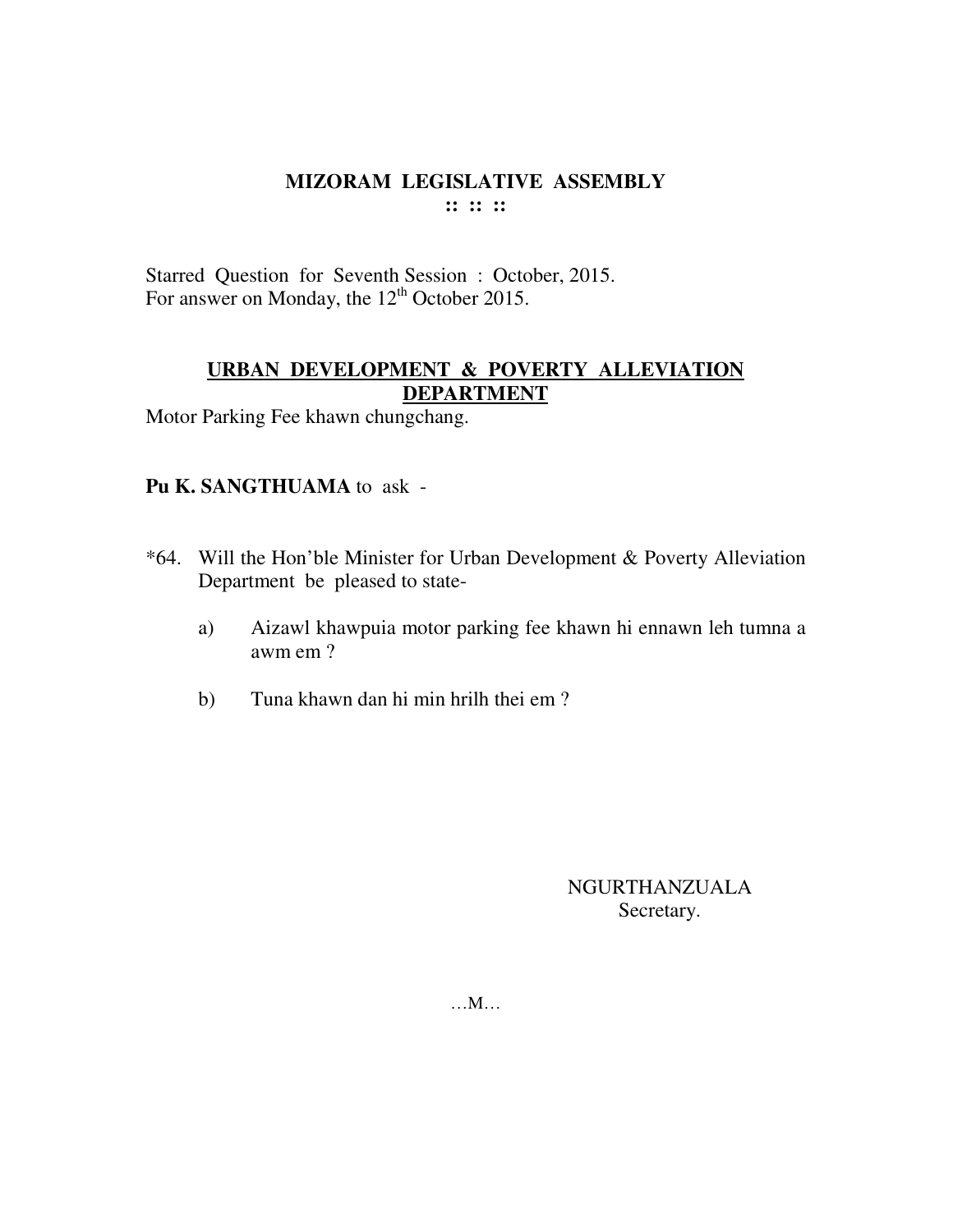Starred Question for Seventh Session : October, 2015. For answer on Monday, the 12<sup>th</sup> October 2015.

## **URBAN DEVELOPMENT & POVERTY ALLEVIATION DEPARTMENT**

Motor Parking Fee khawn chungchang.

## **Pu K. SANGTHUAMA** to ask -

- \*64. Will the Hon'ble Minister for Urban Development & Poverty Alleviation Department be pleased to state
	- a) Aizawl khawpuia motor parking fee khawn hi ennawn leh tumna a awm em ?
	- b) Tuna khawn dan hi min hrilh thei em ?

NGURTHANZUALA Secretary.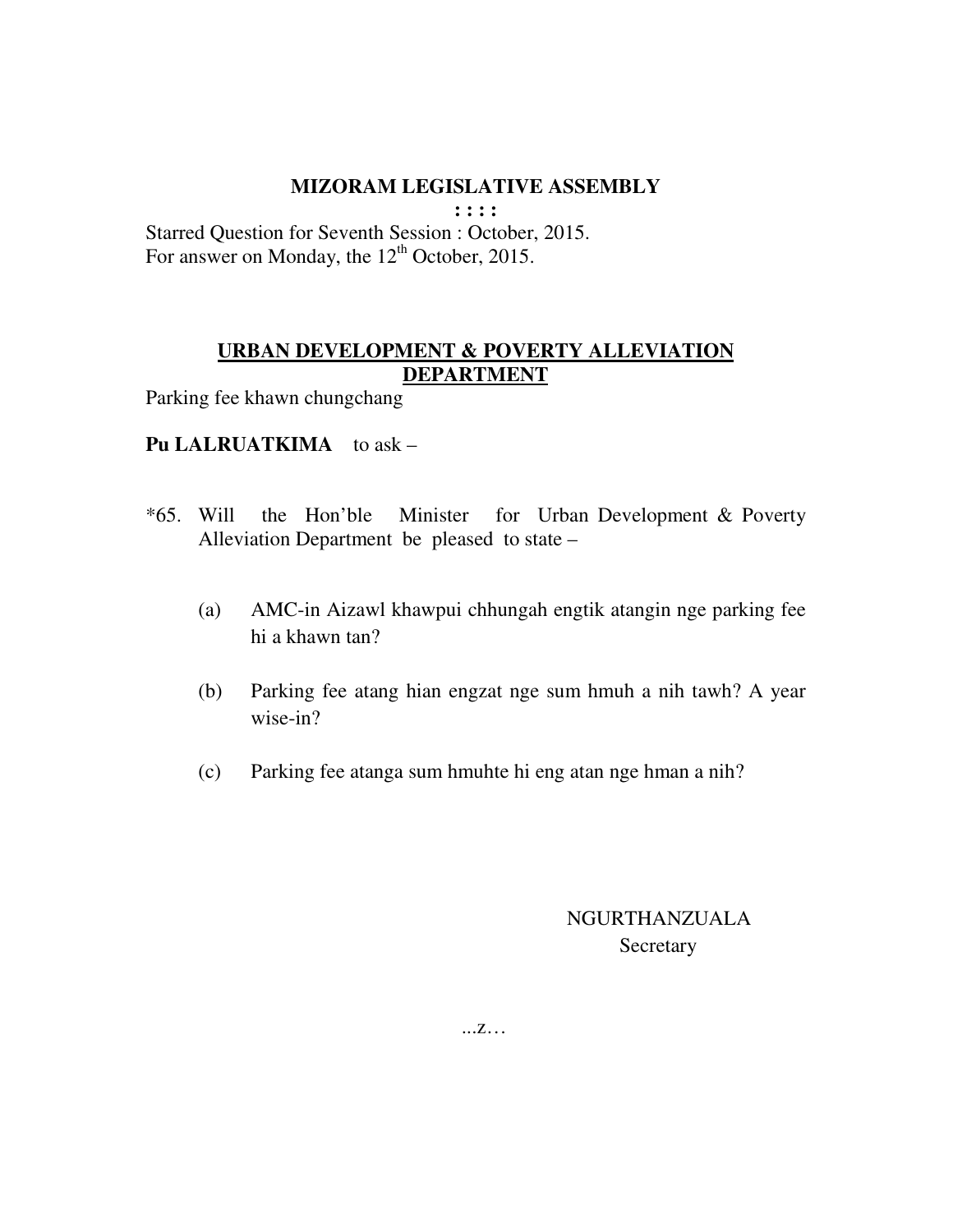**: : : :** 

Starred Question for Seventh Session : October, 2015. For answer on Monday, the 12<sup>th</sup> October, 2015.

#### **URBAN DEVELOPMENT & POVERTY ALLEVIATION DEPARTMENT**

Parking fee khawn chungchang

#### Pu LALRUATKIMA to ask -

- \*65. Will the Hon'ble Minister for Urban Development & Poverty Alleviation Department be pleased to state –
	- (a) AMC-in Aizawl khawpui chhungah engtik atangin nge parking fee hi a khawn tan?
	- (b) Parking fee atang hian engzat nge sum hmuh a nih tawh? A year wise-in?
	- (c) Parking fee atanga sum hmuhte hi eng atan nge hman a nih?

# NGURTHANZUALA **Secretary**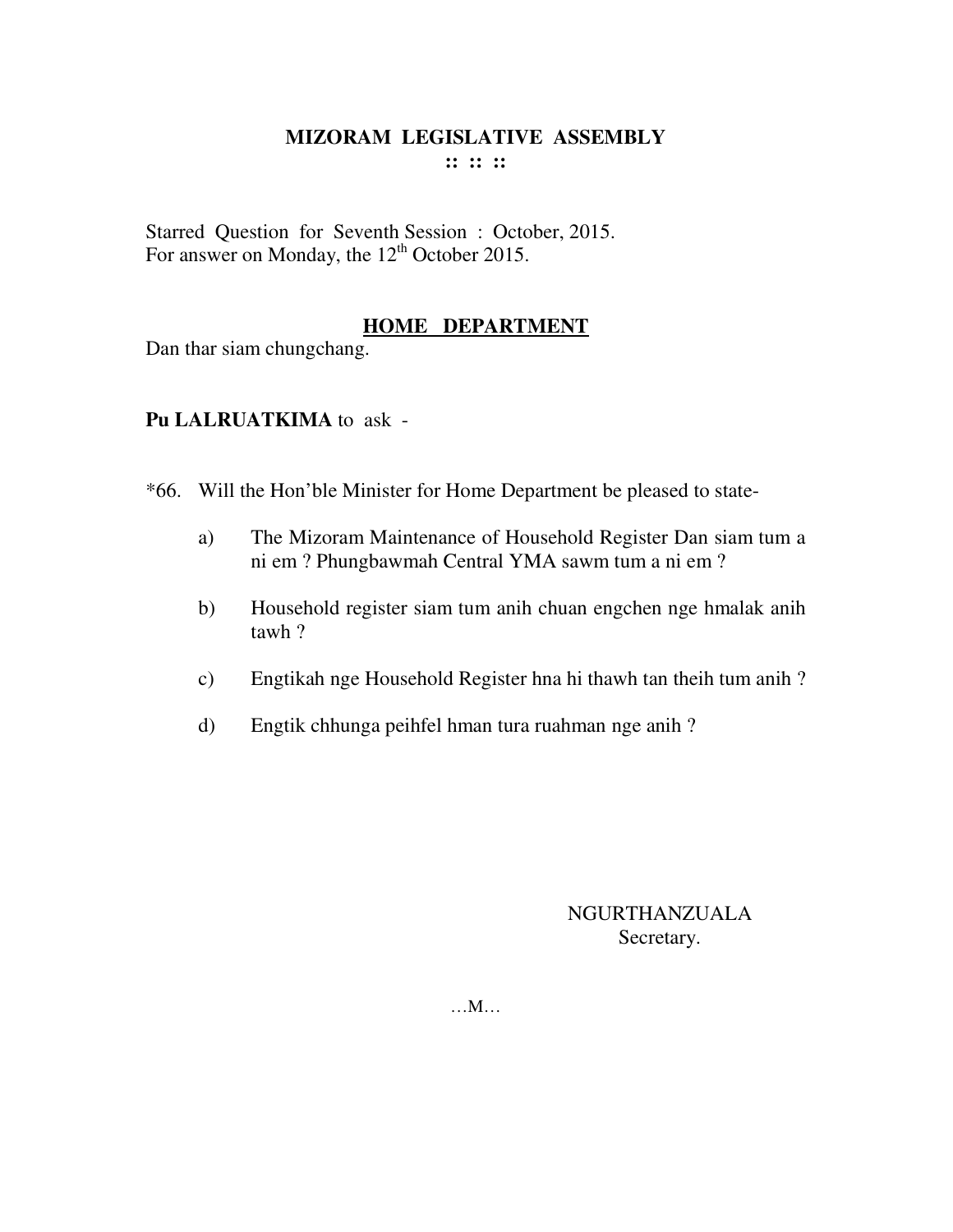Starred Question for Seventh Session : October, 2015. For answer on Monday, the 12<sup>th</sup> October 2015.

## **HOME DEPARTMENT**

Dan thar siam chungchang.

## **Pu LALRUATKIMA** to ask -

\*66. Will the Hon'ble Minister for Home Department be pleased to state-

- a) The Mizoram Maintenance of Household Register Dan siam tum a ni em ? Phungbawmah Central YMA sawm tum a ni em ?
- b) Household register siam tum anih chuan engchen nge hmalak anih tawh ?
- c) Engtikah nge Household Register hna hi thawh tan theih tum anih ?
- d) Engtik chhunga peihfel hman tura ruahman nge anih ?

## NGURTHANZUALA Secretary.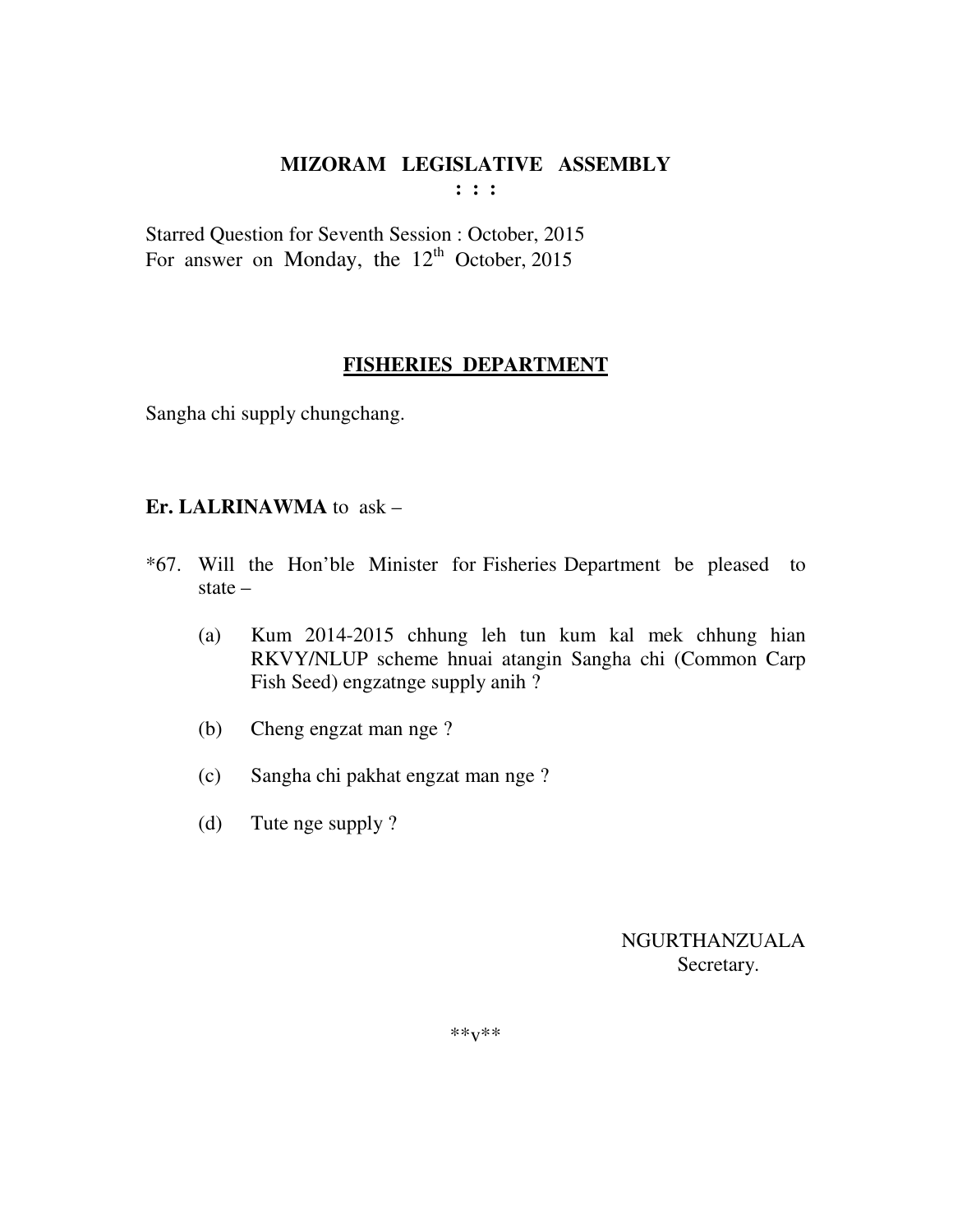**: : :** 

Starred Question for Seventh Session : October, 2015 For answer on Monday, the  $12<sup>th</sup>$  October, 2015

## **FISHERIES DEPARTMENT**

Sangha chi supply chungchang.

#### **Er. LALRINAWMA** to ask –

- \*67. Will the Hon'ble Minister for Fisheries Department be pleased to state –
	- (a) Kum 2014-2015 chhung leh tun kum kal mek chhung hian RKVY/NLUP scheme hnuai atangin Sangha chi (Common Carp Fish Seed) engzatnge supply anih ?
	- (b) Cheng engzat man nge ?
	- (c) Sangha chi pakhat engzat man nge ?
	- (d) Tute nge supply ?

 NGURTHANZUALA Secretary.

\*\*v\*\*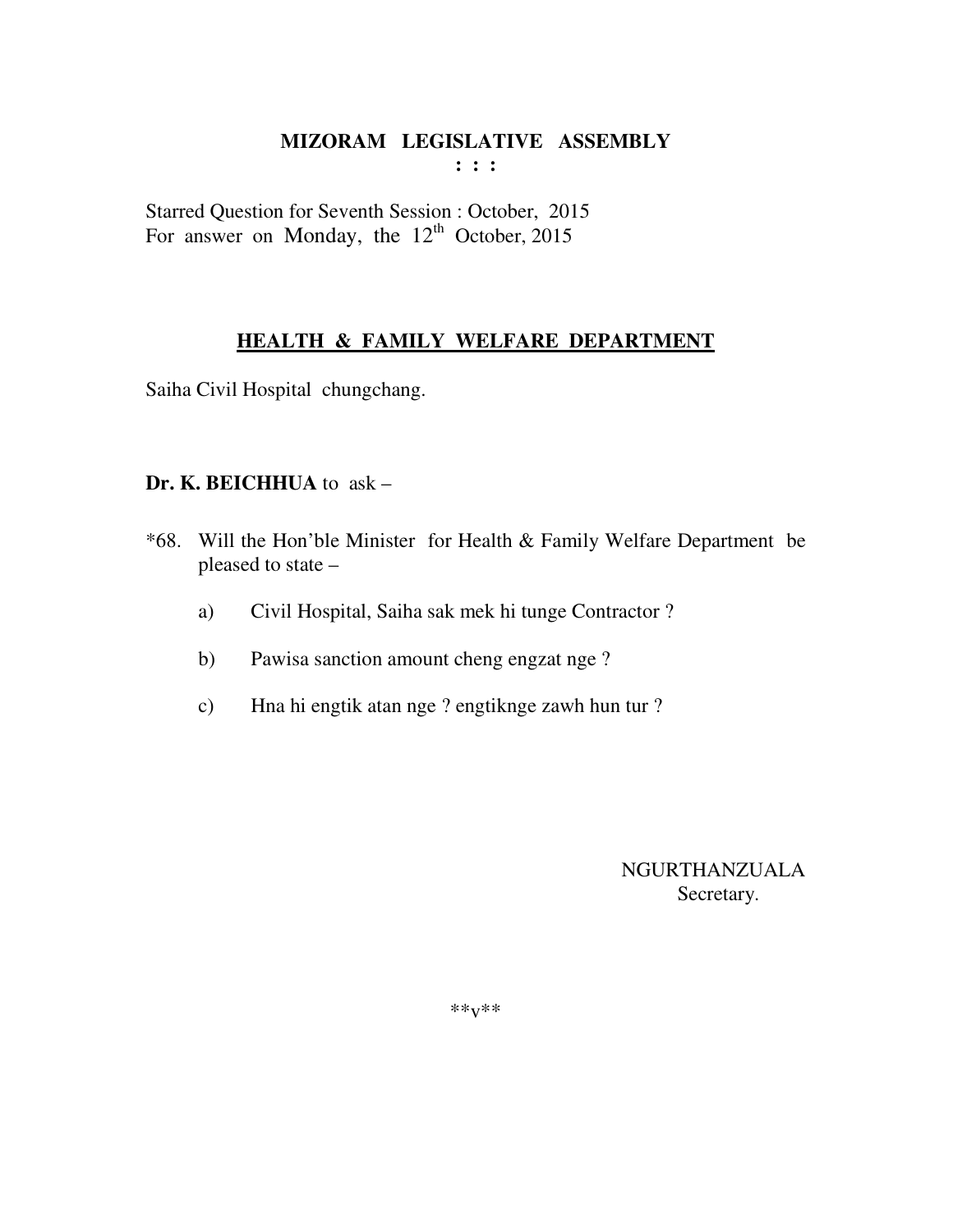Starred Question for Seventh Session : October, 2015 For answer on Monday, the  $12<sup>th</sup>$  October, 2015

# **HEALTH & FAMILY WELFARE DEPARTMENT**

Saiha Civil Hospital chungchang.

#### **Dr. K. BEICHHUA** to ask –

- \*68. Will the Hon'ble Minister for Health & Family Welfare Department be pleased to state –
	- a) Civil Hospital, Saiha sak mek hi tunge Contractor ?
	- b) Pawisa sanction amount cheng engzat nge ?
	- c) Hna hi engtik atan nge ? engtiknge zawh hun tur ?

 NGURTHANZUALA Secretary.

\*\*v\*\*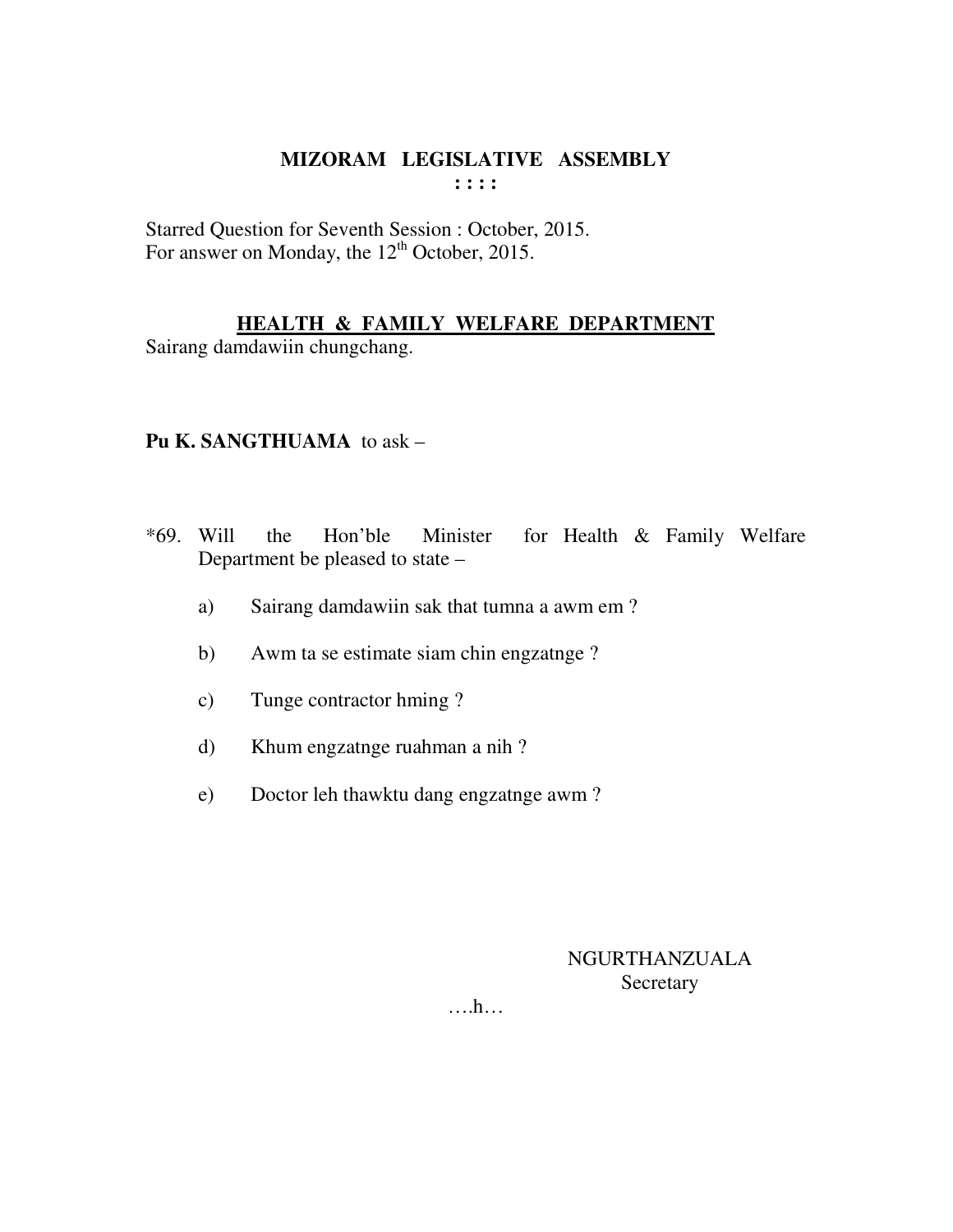Starred Question for Seventh Session : October, 2015. For answer on Monday, the 12<sup>th</sup> October, 2015.

## **HEALTH & FAMILY WELFARE DEPARTMENT**

Sairang damdawiin chungchang.

#### **Pu K. SANGTHUAMA** to ask –

- \*69. Will the Hon'ble Minister for Health & Family Welfare Department be pleased to state –
	- a) Sairang damdawiin sak that tumna a awm em ?
	- b) Awm ta se estimate siam chin engzatnge ?
	- c) Tunge contractor hming ?
	- d) Khum engzatnge ruahman a nih ?
	- e) Doctor leh thawktu dang engzatnge awm ?

## NGURTHANZUALA Secretary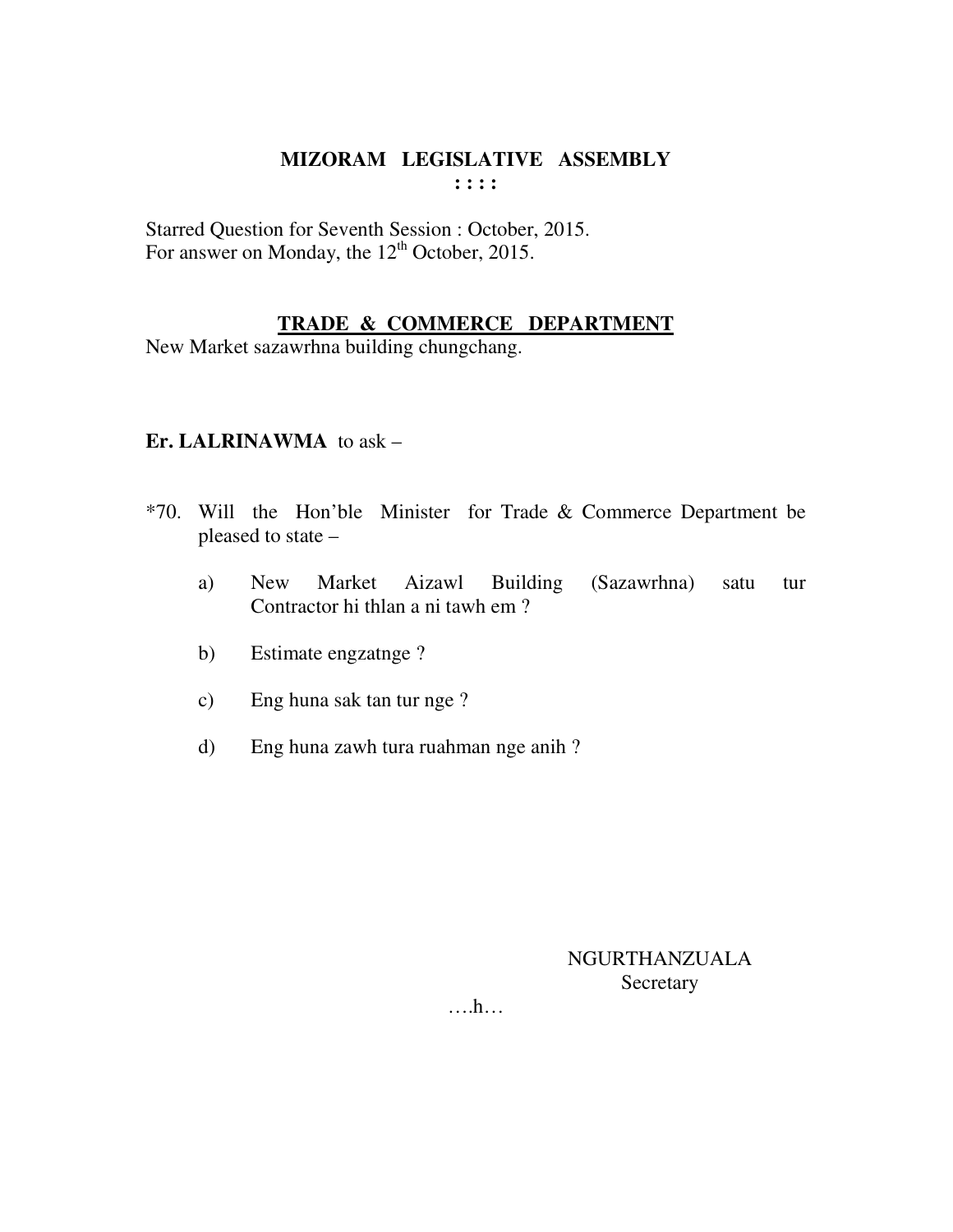Starred Question for Seventh Session : October, 2015. For answer on Monday, the 12<sup>th</sup> October, 2015.

## **TRADE & COMMERCE DEPARTMENT**

New Market sazawrhna building chungchang.

## **Er. LALRINAWMA** to ask –

- \*70. Will the Hon'ble Minister for Trade & Commerce Department be pleased to state –
	- a) New Market Aizawl Building (Sazawrhna) satu tur Contractor hi thlan a ni tawh em ?
	- b) Estimate engzatnge ?
	- c) Eng huna sak tan tur nge ?
	- d) Eng huna zawh tura ruahman nge anih ?

NGURTHANZUALA Secretary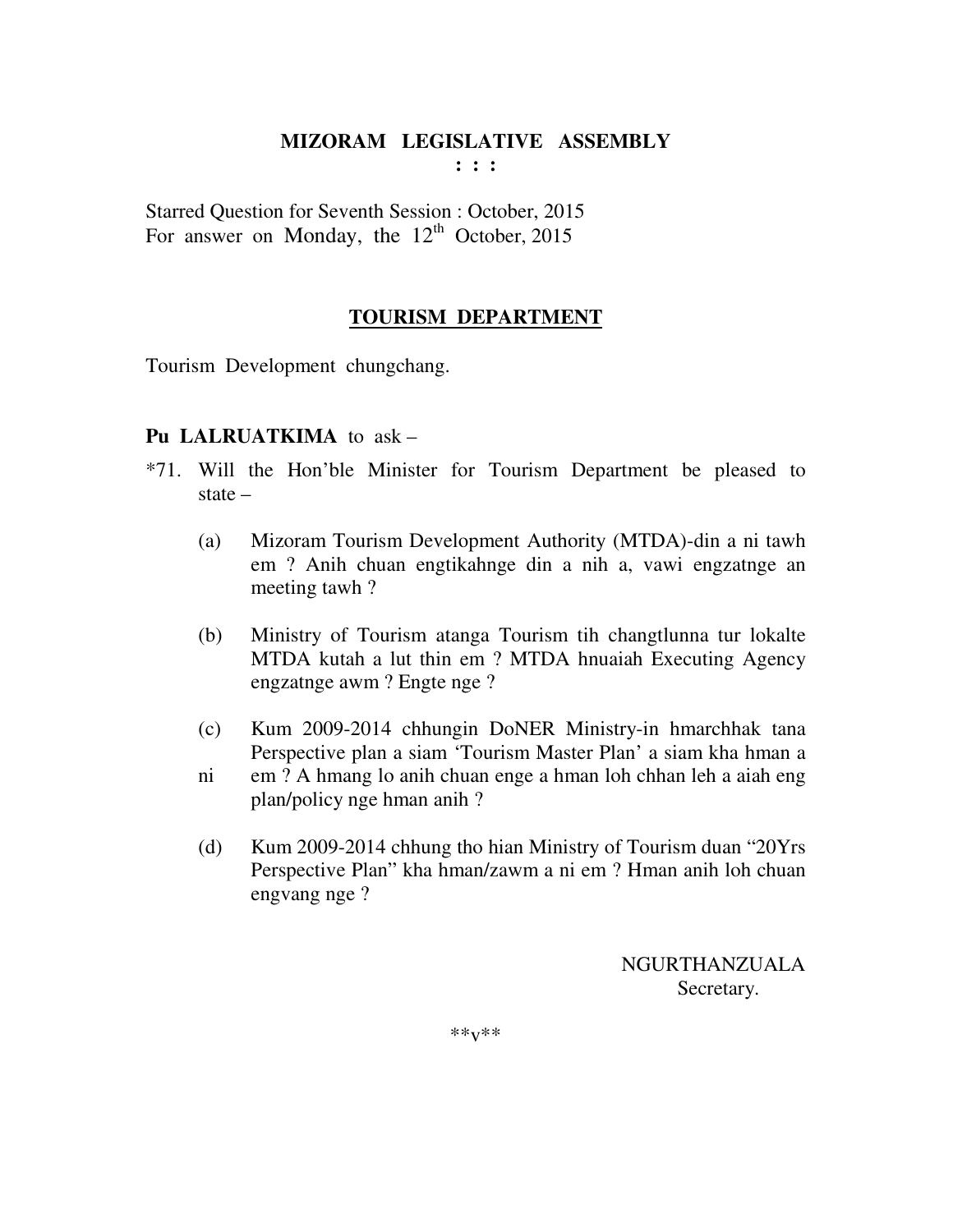**: : :** 

Starred Question for Seventh Session : October, 2015 For answer on Monday, the  $12<sup>th</sup>$  October, 2015

## **TOURISM DEPARTMENT**

Tourism Development chungchang.

## **Pu LALRUATKIMA** to ask –

- \*71. Will the Hon'ble Minister for Tourism Department be pleased to state –
	- (a) Mizoram Tourism Development Authority (MTDA)-din a ni tawh em ? Anih chuan engtikahnge din a nih a, vawi engzatnge an meeting tawh ?
	- (b) Ministry of Tourism atanga Tourism tih changtlunna tur lokalte MTDA kutah a lut thin em ? MTDA hnuaiah Executing Agency engzatnge awm ? Engte nge ?
	- (c) Kum 2009-2014 chhungin DoNER Ministry-in hmarchhak tana Perspective plan a siam 'Tourism Master Plan' a siam kha hman a
	- ni em ? A hmang lo anih chuan enge a hman loh chhan leh a aiah eng plan/policy nge hman anih ?
	- (d) Kum 2009-2014 chhung tho hian Ministry of Tourism duan "20Yrs Perspective Plan" kha hman/zawm a ni em ? Hman anih loh chuan engvang nge ?

 NGURTHANZUALA Secretary.

\*\*v\*\*